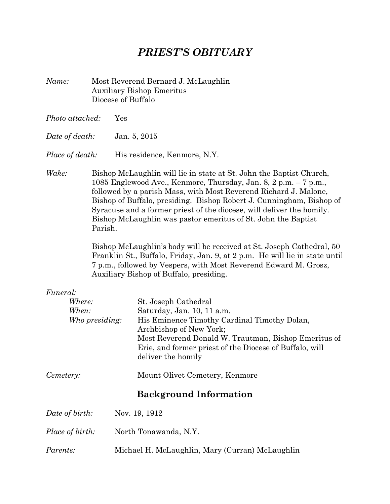# *PRIEST'S OBITUARY*

- *Name:* Most Reverend Bernard J. McLaughlin Auxiliary Bishop Emeritus Diocese of Buffalo
- *Photo attached:* Yes
- *Date of death:* Jan. 5, 2015
- *Place of death:* His residence, Kenmore, N.Y.
- *Wake:* Bishop McLaughlin will lie in state at St. John the Baptist Church, 1085 Englewood Ave., Kenmore, Thursday, Jan. 8, 2 p.m. – 7 p.m., followed by a parish Mass, with Most Reverend Richard J. Malone, Bishop of Buffalo, presiding. Bishop Robert J. Cunningham, Bishop of Syracuse and a former priest of the diocese, will deliver the homily. Bishop McLaughlin was pastor emeritus of St. John the Baptist Parish.

Bishop McLaughlin's body will be received at St. Joseph Cathedral, 50 Franklin St., Buffalo, Friday, Jan. 9, at 2 p.m. He will lie in state until 7 p.m., followed by Vespers, with Most Reverend Edward M. Grosz, Auxiliary Bishop of Buffalo, presiding.

# *Funeral:*

| <i>Where:</i>          | St. Joseph Cathedral                                                                                                                                                                                             |  |
|------------------------|------------------------------------------------------------------------------------------------------------------------------------------------------------------------------------------------------------------|--|
| When:                  | Saturday, Jan. 10, 11 a.m.                                                                                                                                                                                       |  |
| Who presiding:         | His Eminence Timothy Cardinal Timothy Dolan,<br>Archbishop of New York;<br>Most Reverend Donald W. Trautman, Bishop Emeritus of<br>Erie, and former priest of the Diocese of Buffalo, will<br>deliver the homily |  |
| Cemetery:              | Mount Olivet Cemetery, Kenmore                                                                                                                                                                                   |  |
|                        | <b>Background Information</b>                                                                                                                                                                                    |  |
| Date of birth:         | Nov. 19, 1912                                                                                                                                                                                                    |  |
| <i>Place of birth:</i> | North Tonawanda, N.Y.                                                                                                                                                                                            |  |
|                        |                                                                                                                                                                                                                  |  |

*Parents:* Michael H. McLaughlin, Mary (Curran) McLaughlin